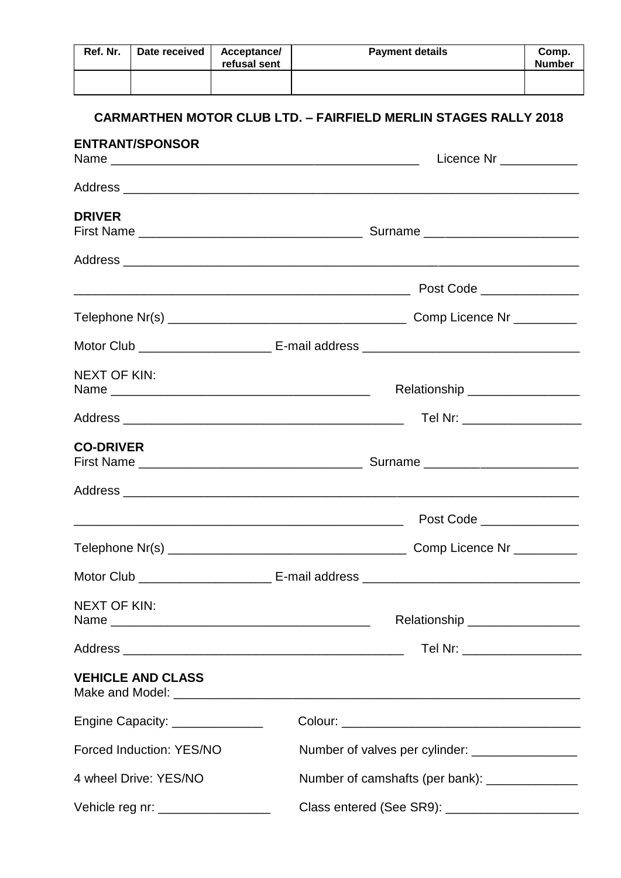| Ref. Nr.            | Date received                                                                         | Acceptance/<br>refusal sent | <b>Payment details</b>                                                 | Comp.<br><b>Number</b>         |  |  |
|---------------------|---------------------------------------------------------------------------------------|-----------------------------|------------------------------------------------------------------------|--------------------------------|--|--|
|                     | <b>ENTRANT/SPONSOR</b>                                                                |                             | <b>CARMARTHEN MOTOR CLUB LTD. - FAIRFIELD MERLIN STAGES RALLY 2018</b> |                                |  |  |
|                     |                                                                                       |                             |                                                                        | Licence Nr ____________        |  |  |
|                     |                                                                                       |                             |                                                                        |                                |  |  |
| <b>DRIVER</b>       |                                                                                       |                             |                                                                        |                                |  |  |
|                     |                                                                                       |                             |                                                                        |                                |  |  |
|                     |                                                                                       |                             | Post Code _______________                                              |                                |  |  |
|                     |                                                                                       |                             |                                                                        |                                |  |  |
|                     |                                                                                       |                             |                                                                        |                                |  |  |
| <b>NEXT OF KIN:</b> |                                                                                       |                             | Relationship __________________                                        |                                |  |  |
|                     |                                                                                       |                             |                                                                        | Tel Nr: ______________________ |  |  |
| <b>CO-DRIVER</b>    |                                                                                       |                             |                                                                        |                                |  |  |
|                     |                                                                                       |                             |                                                                        |                                |  |  |
|                     |                                                                                       |                             |                                                                        |                                |  |  |
|                     |                                                                                       |                             |                                                                        |                                |  |  |
|                     |                                                                                       |                             |                                                                        |                                |  |  |
| <b>NEXT OF KIN:</b> |                                                                                       |                             | Relationship _________________                                         |                                |  |  |
|                     |                                                                                       |                             |                                                                        | Tel Nr: ____________________   |  |  |
|                     | <b>VEHICLE AND CLASS</b>                                                              |                             |                                                                        |                                |  |  |
|                     | Engine Capacity: _______________                                                      |                             |                                                                        |                                |  |  |
|                     | Forced Induction: YES/NO                                                              |                             | Number of valves per cylinder: __________________                      |                                |  |  |
|                     | 4 wheel Drive: YES/NO                                                                 |                             | Number of camshafts (per bank): ______________                         |                                |  |  |
|                     | Class entered (See SR9): _____________________<br>Vehicle reg nr: ___________________ |                             |                                                                        |                                |  |  |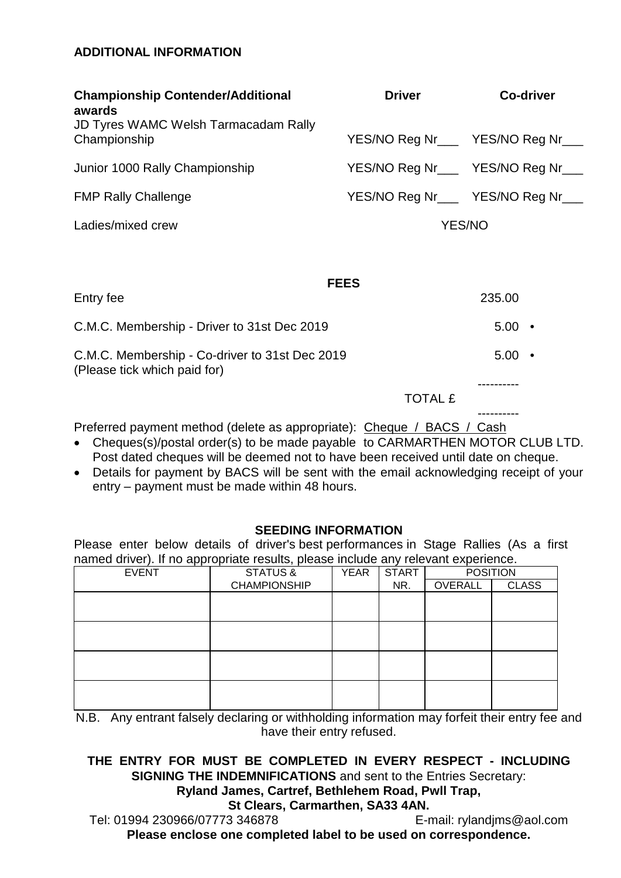# **ADDITIONAL INFORMATION**

| <b>Championship Contender/Additional</b><br>awards                             | <b>Driver</b>                     | <b>Co-driver</b>  |
|--------------------------------------------------------------------------------|-----------------------------------|-------------------|
| <b>JD Tyres WAMC Welsh Tarmacadam Rally</b><br>Championship                    | YES/NO Reg Nr___ YES/NO Reg Nr___ |                   |
| Junior 1000 Rally Championship                                                 | YES/NO Reg Nr____ YES/NO Reg Nr_  |                   |
| <b>FMP Rally Challenge</b>                                                     | YES/NO Reg Nr___ YES/NO Reg Nr___ |                   |
| Ladies/mixed crew                                                              | <b>YES/NO</b>                     |                   |
|                                                                                |                                   |                   |
|                                                                                | <b>FEES</b>                       |                   |
| Entry fee                                                                      |                                   | 235.00            |
| C.M.C. Membership - Driver to 31st Dec 2019                                    |                                   | $5.00$ •          |
| C.M.C. Membership - Co-driver to 31st Dec 2019<br>(Please tick which paid for) |                                   | $5.00 \cdot$      |
|                                                                                | <b>TOTAL £</b>                    |                   |
| Preferred payment method (delete as appropriate): Cheque / BACS / Cash         |                                   | . - - - - - - - - |

- Cheques(s)/postal order(s) to be made payable to CARMARTHEN MOTOR CLUB LTD. Post dated cheques will be deemed not to have been received until date on cheque.
- Details for payment by BACS will be sent with the email acknowledging receipt of your entry – payment must be made within 48 hours.

## **SEEDING INFORMATION**

Please enter below details of driver's best performances in Stage Rallies (As a first named driver). If no appropriate results, please include any relevant experience.

| <b>EVENT</b> | STATUS &            | <b>YEAR</b> | <b>START</b> | <b>POSITION</b> |              |
|--------------|---------------------|-------------|--------------|-----------------|--------------|
|              | <b>CHAMPIONSHIP</b> |             | NR.          | OVERALL         | <b>CLASS</b> |
|              |                     |             |              |                 |              |
|              |                     |             |              |                 |              |
|              |                     |             |              |                 |              |
|              |                     |             |              |                 |              |
|              |                     |             |              |                 |              |
|              |                     |             |              |                 |              |
|              |                     |             |              |                 |              |
|              |                     |             |              |                 |              |

N.B. Any entrant falsely declaring or withholding information may forfeit their entry fee and have their entry refused.

## **THE ENTRY FOR MUST BE COMPLETED IN EVERY RESPECT - INCLUDING SIGNING THE INDEMNIFICATIONS** and sent to the Entries Secretary:

**Ryland James, Cartref, Bethlehem Road, Pwll Trap,** 

**St Clears, Carmarthen, SA33 4AN.** 

Tel: 01994 230966/07773 346878 E-mail: rylandjms@aol.com **Please enclose one completed label to be used on correspondence.**